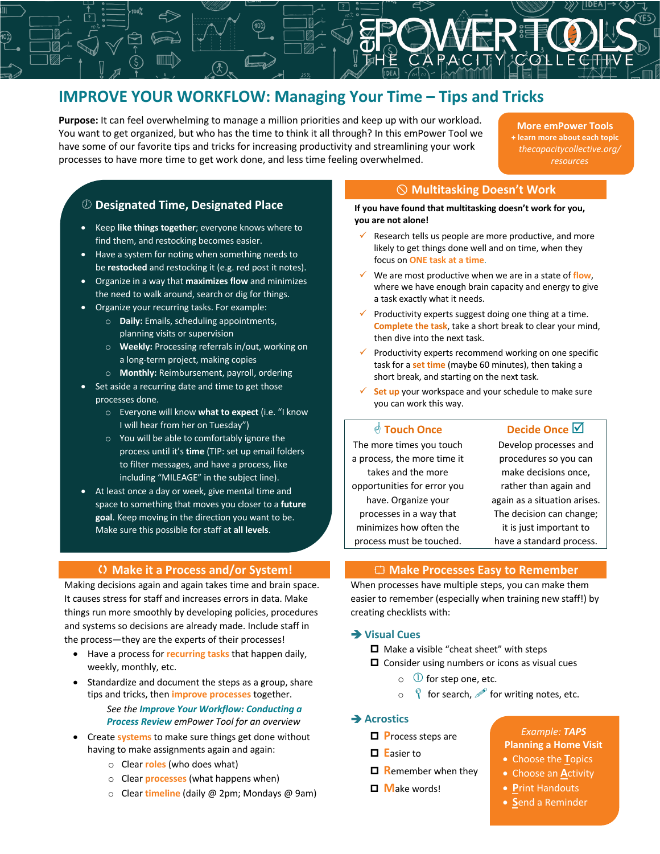# **IMPROVE YOUR WORKFLOW: Managing Your Time – Tips and Tricks**

**Purpose:** It can feel overwhelming to manage a million priorities and keep up with our workload. You want to get organized, but who has the time to think it all through? In this emPower Tool we have some of our favorite tips and tricks for increasing productivity and streamlining your work processes to have more time to get work done, and less time feeling overwhelmed.

**More emPower Tools + learn more about each topic** *thecapacitycollective.org/ resources*

## ½ **Designated Time, Designated Place**

- Keep **like things together**; everyone knows where to find them, and restocking becomes easier.
- Have a system for noting when something needs to be **restocked** and restocking it (e.g. red post it notes).
- Organize in a way that **maximizes flow** and minimizes the need to walk around, search or dig for things.
- Organize your recurring tasks. For example:
	- o **Daily:** Emails, scheduling appointments, planning visits or supervision
	- o **Weekly:** Processing referrals in/out, working on a long-term project, making copies
	- o **Monthly:** Reimbursement, payroll, ordering
- Set aside a recurring date and time to get those processes done.
	- o Everyone will know **what to expect** (i.e. "I know I will hear from her on Tuesday")
	- o You will be able to comfortably ignore the process until it's **time** (TIP: set up email folders to filter messages, and have a process, like including "MILEAGE" in the subject line).
- At least once a day or week, give mental time and space to something that moves you closer to a **future goal**. Keep moving in the direction you want to be. Make sure this possible for staff at **all levels**.

Making decisions again and again takes time and brain space. It causes stress for staff and increases errors in data. Make things run more smoothly by developing policies, procedures and systems so decisions are already made. Include staff in the process—they are the experts of their processes!

- Have a process for **recurring tasks** that happen daily, weekly, monthly, etc.
- Standardize and document the steps as a group, share tips and tricks, then **improve processes** together.
	- *See the Improve Your Workflow: Conducting a Process Review emPower Tool for an overview*
- Create **systems** to make sure things get done without having to make assignments again and again:
	- o Clear **roles** (who does what)
	- o Clear **processes** (what happens when)
	- o Clear **timeline** (daily @ 2pm; Mondays @ 9am)

### o x **Multitasking Doesn't Work**

**If you have found that multitasking doesn't work for you, you are not alone!**

- Research tells us people are more productive, and more likely to get things done well and on time, when they focus on **ONE task at a time**.
- We are most productive when we are in a state of flow, where we have enough brain capacity and energy to give a task exactly what it needs.
- Productivity experts suggest doing one thing at a time. **Complete the task**, take a short break to clear your mind, then dive into the next task.
- Productivity experts recommend working on one specific task for a **set time** (maybe 60 minutes), then taking a short break, and starting on the next task.
- $\checkmark$  Set up your workspace and your schedule to make sure you can work this way.

The more times you touch a process, the more time it takes and the more opportunities for error you have. Organize your processes in a way that minimizes how often the process must be touched.

## G **Touch Once Decide Once** þ

Develop processes and procedures so you can make decisions once, rather than again and again as a situation arises. The decision can change; it is just important to have a standard process.

### q **Make it a Process and/or System!** ` **Make Processes Easy to Remember**

When processes have multiple steps, you can make them easier to remember (especially when training new staff!) by creating checklists with:

### è **Visual Cues**

- $\Box$  Make a visible "cheat sheet" with steps
- $\Box$  Consider using numbers or icons as visual cues
	- $\circ$   $\circ$  for step one, etc.
	- $\circ$   $\circ$  for search,  $\circ$  for writing notes, etc.

### $\rightarrow$  **Acrostics**

- **P**rocess steps are
- p **E**asier to
- **D** Remember when they
- p **M**ake words!

### *Example: TAPS* **Planning a Home Visit**

- Choose the **T**opics
- Choose an **A**ctivity
- **P**rint Handouts
- **S**end a Reminder